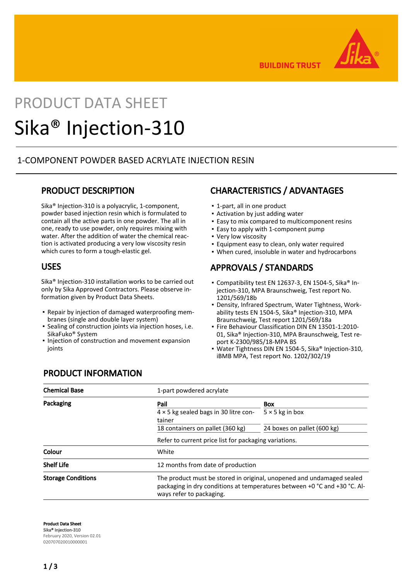

**BUILDING TRUST** 

# PRODUCT DATA SHEET Sika® Injection-310

## 1-COMPONENT POWDER BASED ACRYLATE INJECTION RESIN

## PRODUCT DESCRIPTION

Sika® Injection-310 is a polyacrylic, 1-component, powder based injection resin which is formulated to contain all the active parts in one powder. The all in one, ready to use powder, only requires mixing with water. After the addition of water the chemical reaction is activated producing a very low viscosity resin which cures to form a tough-elastic gel.

## USES

Sika® Injection-310 installation works to be carried out only by Sika Approved Contractors. Please observe information given by Product Data Sheets.

- Repair by injection of damaged waterproofing mem-▪ branes (single and double layer system)
- Sealing of construction joints via injection hoses, i.e. SikaFuko® System
- **.** Injection of construction and movement expansion joints

# CHARACTERISTICS / ADVANTAGES

- 1-part, all in one product
- **Activation by just adding water**
- **Easy to mix compared to multicomponent resins**
- **Easy to apply with 1-component pump**
- Very low viscosity
- Equipment easy to clean, only water required
- When cured, insoluble in water and hydrocarbons

# APPROVALS / STANDARDS

- Compatibility test EN 12637-3, EN 1504-5, Sika® In-▪ jection-310, MPA Braunschweig, Test report No. 1201/569/18b
- Density, Infrared Spectrum, Water Tightness, Work-▪ ability tests EN 1504-5, Sika® Injection-310, MPA Braunschweig, Test report 1201/569/18a
- Fire Behaviour Classification DIN EN 13501-1:2010- 01, Sika® Injection-310, MPA Braunschweig, Test report K-2300/985/18-MPA BS
- Water Tightness DIN EN 1504-5, Sika® Injection-310, iBMB MPA, Test report No. 1202/302/19 ▪

## PRODUCT INFORMATION

| <b>Chemical Base</b>      | 1-part powdered acrylate                                                                                                                                                       |                             |  |
|---------------------------|--------------------------------------------------------------------------------------------------------------------------------------------------------------------------------|-----------------------------|--|
| Packaging                 | Pail                                                                                                                                                                           | <b>Box</b>                  |  |
|                           | $4 \times 5$ kg sealed bags in 30 litre con-<br>tainer                                                                                                                         | $5 \times 5$ kg in box      |  |
|                           | 18 containers on pallet (360 kg)                                                                                                                                               | 24 boxes on pallet (600 kg) |  |
|                           | Refer to current price list for packaging variations.                                                                                                                          |                             |  |
| Colour                    | White                                                                                                                                                                          |                             |  |
| <b>Shelf Life</b>         | 12 months from date of production                                                                                                                                              |                             |  |
| <b>Storage Conditions</b> | The product must be stored in original, unopened and undamaged sealed<br>packaging in dry conditions at temperatures between +0 °C and +30 °C. Al-<br>ways refer to packaging. |                             |  |

Product Data Sheet Sika® Injection-310 February 2020, Version 02.01 020707020010000001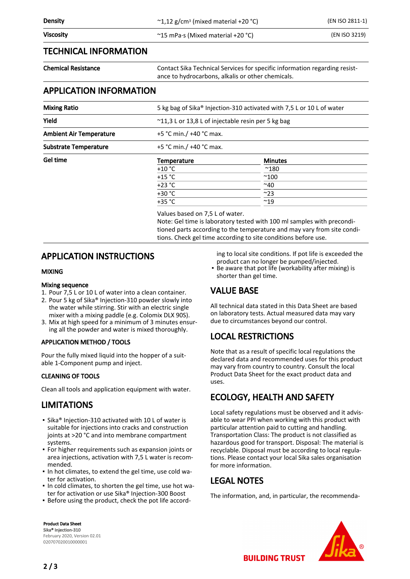## TECHNICAL INFORMATION

Chemical Resistance Contact Sika Technical Services for specific information regarding resistance to hydrocarbons, alkalis or other chemicals.

## APPLICATION INFORMATION

|                                                    | 5 kg bag of Sika® Injection-310 activated with 7,5 L or 10 L of water |  |
|----------------------------------------------------|-----------------------------------------------------------------------|--|
| ~11,3 L or 13,8 L of injectable resin per 5 kg bag |                                                                       |  |
| +5 °C min./ +40 °C max.                            |                                                                       |  |
| +5 °C min./ +40 °C max.                            |                                                                       |  |
| <b>Temperature</b>                                 | <b>Minutes</b>                                                        |  |
| $+10 °C$                                           | $^{\sim}180$                                                          |  |
| $+15 °C$                                           | $^{\sim}100$                                                          |  |
| $+23 °C$                                           | ~10                                                                   |  |
| $+30 °C$                                           | $~^{\sim}$ 23                                                         |  |
|                                                    | $~^{\sim}$ 19                                                         |  |
|                                                    | $+35 °C$                                                              |  |

Values based on 7,5 L of water.

Note: Gel time is laboratory tested with 100 ml samples with preconditioned parts according to the temperature and may vary from site conditions. Check gel time according to site conditions before use.

## APPLICATION INSTRUCTIONS

#### MIXING

#### Mixing sequence

- 1. Pour 7,5 L or 10 L of water into a clean container.
- 2. Pour 5 kg of Sika® Injection-310 powder slowly into the water while stirring. Stir with an electric single mixer with a mixing paddle (e.g. Colomix DLX 90S).
- Mix at high speed for a minimum of 3 minutes ensur-3. ing all the powder and water is mixed thoroughly.

#### APPLICATION METHOD / TOOLS

Pour the fully mixed liquid into the hopper of a suitable 1-Component pump and inject.

#### CLEANING OF TOOLS

Clean all tools and application equipment with water.

### LIMITATIONS

- $\bullet\,$  Sika® Injection-310 activated with 10 L of water is suitable for injections into cracks and construction joints at >20 °C and into membrane compartment systems.
- **For higher requirements such as expansion joints or** area injections, activation with 7,5 L water is recommended.
- In hot climates, to extend the gel time, use cold water for activation.
- In cold climates, to shorten the gel time, use hot water for activation or use Sika® Injection-300 Boost
- Before using the product, check the pot life accord-

ing to local site conditions. If pot life is exceeded the product can no longer be pumped/injected.

■ Be aware that pot life (workability after mixing) is shorter than gel time.

## VALUE BASE

All technical data stated in this Data Sheet are based on laboratory tests. Actual measured data may vary due to circumstances beyond our control.

## LOCAL RESTRICTIONS

Note that as a result of specific local regulations the declared data and recommended uses for this product may vary from country to country. Consult the local Product Data Sheet for the exact product data and uses.

# ECOLOGY, HEALTH AND SAFETY

Local safety regulations must be observed and it advisable to wear PPI when working with this product with particular attention paid to cutting and handling. Transportation Class: The product is not classified as hazardous good for transport. Disposal: The material is recyclable. Disposal must be according to local regulations. Please contact your local Sika sales organisation for more information.

# LEGAL NOTES

The information, and, in particular, the recommenda-





**BUILDING TRUST**